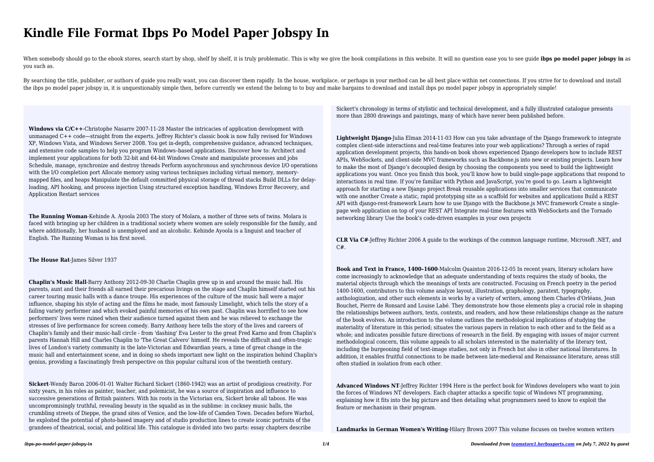## **Kindle File Format Ibps Po Model Paper Jobspy In**

When somebody should go to the ebook stores, search start by shop, shelf by shelf, it is truly problematic. This is why we give the book compilations in this website. It will no question ease you to see quide ibps po model you such as.

By searching the title, publisher, or authors of guide you really want, you can discover them rapidly. In the house, workplace, or perhaps in your method can be all best place within net connections. If you strive for to d the ibps po model paper jobspy in, it is unquestionably simple then, before currently we extend the belong to to buy and make bargains to download and install ibps po model paper jobspy in appropriately simple!

**Windows via C/C++**-Christophe Nasarre 2007-11-28 Master the intricacies of application development with unmanaged C++ code—straight from the experts. Jeffrey Richter's classic book is now fully revised for Windows XP, Windows Vista, and Windows Server 2008. You get in-depth, comprehensive guidance, advanced techniques, and extensive code samples to help you program Windows–based applications. Discover how to: Architect and implement your applications for both 32-bit and 64-bit Windows Create and manipulate processes and jobs Schedule, manage, synchronize and destroy threads Perform asynchronous and synchronous device I/O operations with the I/O completion port Allocate memory using various techniques including virtual memory, memorymapped files, and heaps Manipulate the default committed physical storage of thread stacks Build DLLs for delayloading, API hooking, and process injection Using structured exception handling, Windows Error Recovery, and Application Restart services

**The Running Woman**-Kehinde A. Ayoola 2003 The story of Molara, a mother of three sets of twins. Molara is faced with bringing up her children in a traditional society where women are solely responsible for the family, and where additionally, her husband is unemployed and an alcoholic. Kehinde Ayoola is a linguist and teacher of English. The Running Woman is his first novel.

**The House Rat**-James Silver 1937

**Chaplin's Music Hall**-Barry Anthony 2012-09-30 Charlie Chaplin grew up in and around the music hall. His parents, aunt and their friends all earned their precarious livings on the stage and Chaplin himself started out his career touring music halls with a dance troupe. His experiences of the culture of the music hall were a major influence, shaping his style of acting and the films he made, most famously Limelight, which tells the story of a failing variety performer and which evoked painful memories of his own past. Chaplin was horrified to see how performers' lives were ruined when their audience turned against them and he was relieved to exchange the stresses of live performance for screen comedy. Barry Anthony here tells the story of the lives and careers of Chaplin's family and their music-hall circle - from 'dashing' Eva Lester to the great Fred Karno and from Chaplin's parents Hannah Hill and Charles Chaplin to 'The Great Calvero' himself. He reveals the difficult and often-tragic lives of London's variety community in the late-Victorian and Edwardian years, a time of great change in the music hall and entertainment scene, and in doing so sheds important new light on the inspiration behind Chaplin's genius, providing a fascinatingly fresh perspective on this popular cultural icon of the twentieth century.

**Sickert**-Wendy Baron 2006-01-01 Walter Richard Sickert (1860-1942) was an artist of prodigious creativity. For sixty years, in his roles as painter, teacher, and polemicist, he was a source of inspiration and influence to successive generations of British painters. With his roots in the Victorian era, Sickert broke all taboos. He was uncompromisingly truthful, revealing beauty in the squalid as in the sublime: in cockney music halls, the crumbling streets of Dieppe, the grand sites of Venice, and the low-life of Camden Town. Decades before Warhol, he exploited the potential of photo-based imagery and of studio production lines to create iconic portraits of the grandees of theatrical, social, and political life. This catalogue is divided into two parts: essay chapters describe

Sickert's chronology in terms of stylistic and technical development, and a fully illustrated catalogue presents more than 2800 drawings and paintings, many of which have never been published before.

**Lightweight Django**-Julia Elman 2014-11-03 How can you take advantage of the Django framework to integrate complex client-side interactions and real-time features into your web applications? Through a series of rapid application development projects, this hands-on book shows experienced Django developers how to include REST APIs, WebSockets, and client-side MVC frameworks such as Backbone.js into new or existing projects. Learn how to make the most of Django's decoupled design by choosing the components you need to build the lightweight applications you want. Once you finish this book, you'll know how to build single-page applications that respond to interactions in real time. If you're familiar with Python and JavaScript, you're good to go. Learn a lightweight approach for starting a new Django project Break reusable applications into smaller services that communicate with one another Create a static, rapid prototyping site as a scaffold for websites and applications Build a REST API with diango-rest-framework Learn how to use Diango with the Backbone. S MVC framework Create a singlepage web application on top of your REST API Integrate real-time features with WebSockets and the Tornado networking library Use the book's code-driven examples in your own projects

**CLR Via C#**-Jeffrey Richter 2006 A guide to the workings of the common language runtime, Microsoft .NET, and C#.

**Book and Text in France, 1400–1600**-Malcolm Quainton 2016-12-05 In recent years, literary scholars have come increasingly to acknowledge that an adequate understanding of texts requires the study of books, the material objects through which the meanings of texts are constructed. Focusing on French poetry in the period 1400-1600, contributors to this volume analyze layout, illustration, graphology, paratext, typography, anthologization, and other such elements in works by a variety of writers, among them Charles d'Orléans, Jean Bouchet, Pierre de Ronsard and Louise Labé. They demonstrate how those elements play a crucial role in shaping the relationships between authors, texts, contexts, and readers, and how these relationships change as the nature of the book evolves. An introduction to the volume outlines the methodological implications of studying the materiality of literature in this period; situates the various papers in relation to each other and to the field as a whole; and indicates possible future directions of research in the field. By engaging with issues of major current methodological concern, this volume appeals to all scholars interested in the materiality of the literary text, including the burgeoning field of text-image studies, not only in French but also in other national literatures. In addition, it enables fruitful connections to be made between late-medieval and Renaissance literature, areas still often studied in isolation from each other.

**Advanced Windows NT**-Jeffrey Richter 1994 Here is the perfect book for Windows developers who want to join the forces of Windows NT developers. Each chapter attacks a specific topic of Windows NT programming, explaining how it fits into the big picture and then detailing what programmers need to know to exploit the feature or mechanism in their program.

**Landmarks in German Women's Writing**-Hilary Brown 2007 This volume focuses on twelve women writers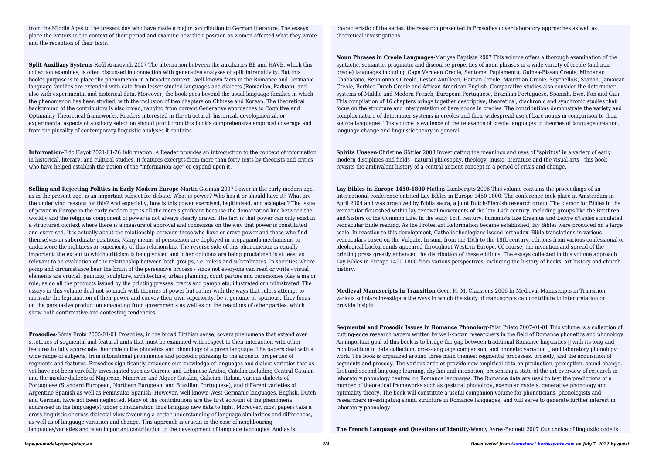from the Middle Ages to the present day who have made a major contribution to German literature. The essays place the writers in the context of their period and examine how their position as women affected what they wrote and the reception of their texts.

**Split Auxiliary Systems**-Raúl Aranovich 2007 The alternation between the auxiliaries BE and HAVE, which this collection examines, is often discussed in connection with generative analyses of split intransitivity. But this book's purpose is to place the phenomenon in a broader context. Well-known facts in the Romance and Germanic language families are extended with data from lesser studied languages and dialects (Romanian, Paduan), and also with experimental and historical data. Moreover, the book goes beyond the usual language families in which the phenomenon has been studied, with the inclusion of two chapters on Chinese and Korean. The theoretical background of the contributors is also broad, ranging from current Generative approaches to Cognitive and Optimality-Theoretical frameworks. Readers interested in the structural, historical, developmental, or experimental aspects of auxiliary selection should profit from this book's comprehensive empirical coverage and from the plurality of contemporary linguistic analyses it contains.

**Information**-Eric Hayot 2021-01-26 Information: A Reader provides an introduction to the concept of information in historical, literary, and cultural studies. It features excerpts from more than forty texts by theorists and critics who have helped establish the notion of the "information age" or expand upon it.

**Selling and Rejecting Politics in Early Modern Europe**-Martin Gosman 2007 Power in the early modern age, as in the present age, is an important subject for debate. What is power? Who has it or should have it? What are the underlying reasons for this? And especially, how is this power exercised, legitimised, and accepted? The issue of power in Europe in the early modern age is all the more significant because the demarcation line between the worldly and the religious component of power is not always clearly drawn. The fact is that power can only exist in a structured context where there is a measure of approval and consensus on the way that power is constituted and exercised. It is actually about the relationship between those who have or crave power and those who find themselves in subordinate positions. Many means of persuasion are deployed in propaganda mechanisms to underscore the rightness or superiority of this relationship. The reverse side of this phenomenon is equally important: the extent to which criticism is being voiced and other opinions are being proclaimed is at least as relevant to an evaluation of the relationship between both groups, i.e. rulers and subordinates. In societies where pomp and circumstance bear the brunt of the persuasive process - since not everyone can read or write - visual elements are crucial: painting, sculpture, architecture, urban planning, court parties and ceremonies play a major role, as do all the products issued by the printing presses: tracts and pamphlets, illustrated or unillustrated. The essays in this volume deal not so much with theories of power but rather with the ways that rulers attempt to motivate the legitimation of their power and convey their own superiority, be it genuine or spurious. They focus on the persuasive production emanating from governments as well as on the reactions of other parties, which show both confirmative and contesting tendencies.

Lay Bibles in Europe 1450-1800-Mathijs Lamberigts 2006 This volume contains the proceedings of an international conference entitled Lay Bibles in Europe 1450-1800. The conference took place in Amsterdam in April 2004 and was organized by Biblia sacra, a joint Dutch-Flemish research group. The clamor for Bibles in the vernacular flourished within lay renewal movements of the late 14th century, including groups like the Brethren and Sisters of the Common Life. In the early 16th century, humanists like Erasmus and Lefvre d'taples stimulated vernacular Bible reading. As the Protestant Reformation became established, lay Bibles were produced on a large scale. In reaction to this development, Catholic theologians issued 'orthodox' Bible translations in various vernaculars based on the Vulgate. In sum, from the 15th to the 18th century, editions from various confessional or ideological backgrounds appeared throughout Western Europe. Of course, the invention and spread of the printing press greatly enhanced the distribution of these editions. The essays collected in this volume approach Lay Bibles in Europe 1450-1800 from various perspectives, including the history of books, art history and church history.

**Prosodies**-Sónia Frota 2005-01-01 Prosodies, in the broad Firthian sense, covers phenomena that extend over stretches of segmental and featural units that must be examined with respect to their interaction with other features to fully appreciate their role in the phonetics and phonology of a given language. The papers deal with a wide range of subjects, from intonational prominence and prosodic phrasing to the acoustic properties of segments and features. Prosodies significantly broadens our knowledge of languages and dialect varieties that as yet have not been carefully investigated such as Cairene and Lebanese Arabic, Catalan including Central Catalan and the insular dialects of Majorcan, Minorcan and Alguer Catalan, Galician, Italian, various dialects of Portuguese (Standard European, Northern European, and Brazilian Portuguese), and different varieties of Argentine Spanish as well as Peninsular Spanish. However, well-known West Germanic languages, English, Dutch and German, have not been neglected. Many of the contributions are the first account of the phenomena addressed in the language(s) under consideration thus bringing new data to light. Moreover, most papers take a cross-linguistic or cross-dialectal view favouring a better understanding of language similarities and differences, as well as of language variation and change. This approach is crucial in the case of neighbouring languages/varieties and is an important contribution to the development of language typologies. And as is

characteristic of the series, the research presented in Prosodies cover laboratory approaches as well as theoretical investigations.

**Noun Phrases in Creole Languages**-Marlyse Baptista 2007 This volume offers a thorough examination of the syntactic, semantic, pragmatic and discourse properties of noun phrases in a wide variety of creole (and noncreole) languages including Cape Verdean Creole, Santome, Papiamentu, Guinea-Bissau Creole, Mindanao Chabacano, Réunionnais Creole, Lesser Antillean, Haitian Creole, Mauritian Creole, Seychellois, Sranan, Jamaican Creole, Berbice Dutch Creole and African American English. Comparative studies also consider the determiner systems of Middle and Modern French, European Portuguese, Brazilian Portuguese, Spanish, Ewe, Fon and Gun. This compilation of 16 chapters brings together descriptive, theoretical, diachronic and synchronic studies that focus on the structure and interpretation of bare nouns in creoles. The contributions demonstrate the variety and complex nature of determiner systems in creoles and their widespread use of bare nouns in comparison to their source languages. This volume is evidence of the relevance of creole languages to theories of language creation, language change and linguistic theory in general.

**Spirits Unseen**-Christine Göttler 2008 Investigating the meanings and uses of "spiritus" in a variety of early modern disciplines and fields - natural philosophy, theology, music, literature and the visual arts - this book revisits the ambivalent history of a central ancient concept in a period of crisis and change.

**Medieval Manuscripts in Transition**-Geert H. M. Claassens 2006 In Medieval Manuscripts in Transition, various scholars investigate the ways in which the study of manuscripts can contribute to interpretation or provide insight.

**Segmental and Prosodic Issues in Romance Phonology**-Pilar Prieto 2007-01-01 This volume is a collection of cutting-edge research papers written by well-known researchers in the field of Romance phonetics and phonology. An important goal of this book is to bridge the gap between traditional Romance linguistics  $\Box$  with its long and rich tradition in data collection, cross-language comparison, and phonetic variation  $\eta$  and laboratory phonology work. The book is organized around three main themes: segmental processes, prosody, and the acquisition of segments and prosody. The various articles provide new empirical data on production, perception, sound change, first and second language learning, rhythm and intonation, presenting a state-of-the-art overview of research in laboratory phonology centred on Romance languages. The Romance data are used to test the predictions of a number of theoretical frameworks such as gestural phonology, exemplar models, generative phonology and optimality theory. The book will constitute a useful companion volume for phoneticians, phonologists and researchers investigating sound structure in Romance languages, and will serve to generate further interest in laboratory phonology.

**The French Language and Questions of Identity**-Wendy Ayres-Bennett 2007 Our choice of linguistic code is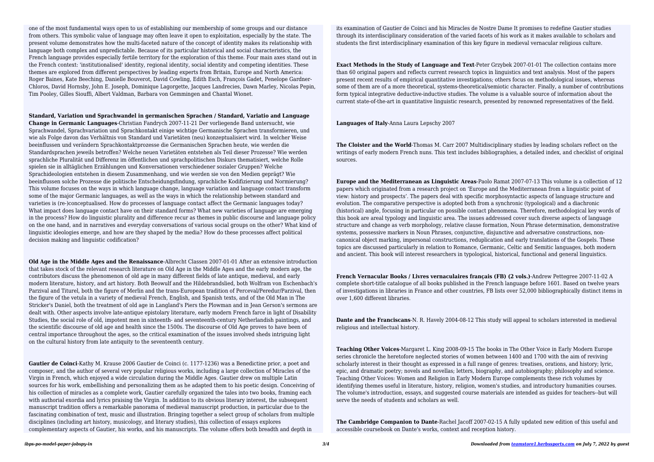one of the most fundamental ways open to us of establishing our membership of some groups and our distance from others. This symbolic value of language may often leave it open to exploitation, especially by the state. The present volume demonstrates how the multi-faceted nature of the concept of identity makes its relationship with language both complex and unpredictable. Because of its particular historical and social characteristics, the French language provides especially fertile territory for the exploration of this theme. Four main axes stand out in the French context: 'institutionalised' identity, regional identity, social identity and competing identities. These themes are explored from different perspectives by leading experts from Britain, Europe and North America: Roger Baines, Kate Beeching, Danielle Bouverot, David Cowling, Edith Esch, François Gadet, Penelope Gardner-Chloros, David Hornsby, John E. Joseph, Dominique Lagorgette, Jacques Landrecies, Dawn Marley, Nicolas Pepin, Tim Pooley, Gilles Siouffi, Albert Valdman, Barbara von Gemmingen and Chantal Wionet.

**Standard, Variation und Sprachwandel in germanischen Sprachen / Standard, Variatio and Language Change in Germanic Languages**-Christian Fandrych 2007-11-21 Der vorliegende Band untersucht, wie Sprachwandel, Sprachvariation und Sprachkontakt einige wichtige Germanische Sprachen transformieren, und wie als Folge davon das Verhältnis von Standard und Varietäten (neu) konzeptualisiert wird. In welcher Weise beeinflussen und verändern Sprachkontaktprozesse die Germanischen Sprachen heute, wie werden die Standardsprachen jeweils betroffen? Welche neuen Varietäten entstehen als Teil dieser Prozesse? Wie werden sprachliche Pluralität und Differenz im öffentlichen und sprachpolitischen Diskurs thematisiert, welche Rolle spielen sie in alltäglichen Erzählungen und Konversationen verschiedener sozialer Gruppen? Welche Sprachideologien entstehen in diesem Zusammenhang, und wie werden sie von den Medien geprägt? Wie beeinflussen solche Prozesse die politische Entscheidungsfindung, sprachliche Kodifizierung und Normierung? This volume focuses on the ways in which language change, language variation and language contact transform some of the major Germanic languages, as well as the ways in which the relationship between standard and varieties is (re-)conceptualised. How do processes of language contact affect the Germanic languages today? What impact does language contact have on their standard forms? What new varieties of language are emerging in the process? How do linguistic plurality and difference recur as themes in public discourse and language policy on the one hand, and in narratives and everyday conversations of various social groups on the other? What kind of linguistic ideologies emerge, and how are they shaped by the media? How do these processes affect political decision making and linguistic codification?

**Old Age in the Middle Ages and the Renaissance**-Albrecht Classen 2007-01-01 After an extensive introduction that takes stock of the relevant research literature on Old Age in the Middle Ages and the early modern age, the contributors discuss the phenomenon of old age in many different fields of late antique, medieval, and early modern literature, history, and art history. Both Beowulf and the Hildebrandslied, both Wolfram von Eschenbach's Parzival and Titurel, both the figure of Merlin and the trans-European tradition of Perceval/Peredur/Parzival, then the figure of the vetula in a variety of medieval French, English, and Spanish texts, and of the Old Man in The Stricker's Daniel, both the treatment of old age in Langland's Piers the Plowman and in Jean Gerson's sermons are dealt with. Other aspects involve late-antique epistolary literature, early modern French farce in light of Disability Studies, the social role of old, impotent men in sixteenth- and seventeenth-century Netherlandish paintings, and the scientific discourse of old age and health since the 1500s. The discourse of Old Age proves to have been of central importance throughout the ages, so the critical examination of the issues involved sheds intriguing light on the cultural history from late antiquity to the seventeenth century.

**Gautier de Coinci**-Kathy M. Krause 2006 Gautier de Coinci (c. 1177-1236) was a Benedictine prior, a poet and composer, and the author of several very popular religious works, including a large collection of Miracles of the Virgin in French, which enjoyed a wide circulation during the Middle Ages. Gautier drew on multiple Latin sources for his work, embellishing and personalizing them as he adapted them to his poetic design. Conceiving of his collection of miracles as a complete work, Gautier carefully organized the tales into two books, framing each with authorial exordia and lyrics praising the Virgin. In addition to its obvious literary interest, the subsequent manuscript tradition offers a remarkable panorama of medieval manuscript production, in particular due to the fascinating combination of text, music and illustration. Bringing together a select group of scholars from multiple disciplines (including art history, musicology, and literary studies), this collection of essays explores complementary aspects of Gautier, his works, and his manuscripts. The volume offers both breadth and depth in

its examination of Gautier de Coinci and his Miracles de Nostre Dame It promises to redefine Gautier studies through its interdisciplinary consideration of the varied facets of his work as it makes available to scholars and students the first interdisciplinary examination of this key figure in medieval vernacular religious culture.

**Exact Methods in the Study of Language and Text**-Peter Grzybek 2007-01-01 The collection contains more than 60 original papers and reflects current research topics in linguistics and text analysis. Most of the papers present recent results of empirical quantitative investigations; others focus on methodological issues, whereas some of them are of a more theoretical, systems-theoretical/semiotic character. Finally, a number of contributions form typical integrative deductive-inductive studies. The volume is a valuable source of information about the current state-of-the-art in quantitative linguistic research, presented by renowned representatives of the field.

**Languages of Italy**-Anna Laura Lepschy 2007

**The Cloister and the World**-Thomas M. Carr 2007 Multidisciplinary studies by leading scholars reflect on the writings of early modern French nuns. This text includes bibliographies, a detailed index, and checklist of original sources.

**Europe and the Mediterranean as Linguistic Areas**-Paolo Ramat 2007-07-13 This volume is a collection of 12 papers which originated from a research project on 'Europe and the Mediterranean from a linguistic point of view: history and prospects'. The papers deal with specific morphosyntactic aspects of language structure and evolution. The comparative perspective is adopted both from a synchronic (typological) and a diachronic (historical) angle, focusing in particular on possible contact phenomena. Therefore, methodological key words of this book are areal typology and linguistic area. The issues addressed cover such diverse aspects of language structure and change as verb morphology, relative clause formation, Noun Phrase determination, demonstrative systems, possessive markers in Noun Phrases, conjunctive, disjunctive and adversative constructions, noncanonical object marking, impersonal constructions, reduplication and early translations of the Gospels. These topics are discussed particularly in relation to Romance, Germanic, Celtic and Semitic languages, both modern and ancient. This book will interest researchers in typological, historical, functional and general linguistics.

**French Vernacular Books / Livres vernaculaires français (FB) (2 vols.)**-Andrew Pettegree 2007-11-02 A complete short-title catalogue of all books published in the French language before 1601. Based on twelve years of investigations in libraries in France and other countries, FB lists over 52,000 bibliographically distinct items in over 1,600 different libraries.

**Dante and the Franciscans**-N. R. Havely 2004-08-12 This study will appeal to scholars interested in medieval religious and intellectual history.

**Teaching Other Voices**-Margaret L. King 2008-09-15 The books in The Other Voice in Early Modern Europe series chronicle the heretofore neglected stories of women between 1400 and 1700 with the aim of reviving scholarly interest in their thought as expressed in a full range of genres: treatises, orations, and history; lyric, epic, and dramatic poetry; novels and novellas; letters, biography, and autobiography; philosophy and science. Teaching Other Voices: Women and Religion in Early Modern Europe complements these rich volumes by identifying themes useful in literature, history, religion, women's studies, and introductory humanities courses. The volume's introduction, essays, and suggested course materials are intended as guides for teachers--but will serve the needs of students and scholars as well.

**The Cambridge Companion to Dante**-Rachel Jacoff 2007-02-15 A fully updated new edition of this useful and accessible coursebook on Dante's works, context and reception history.